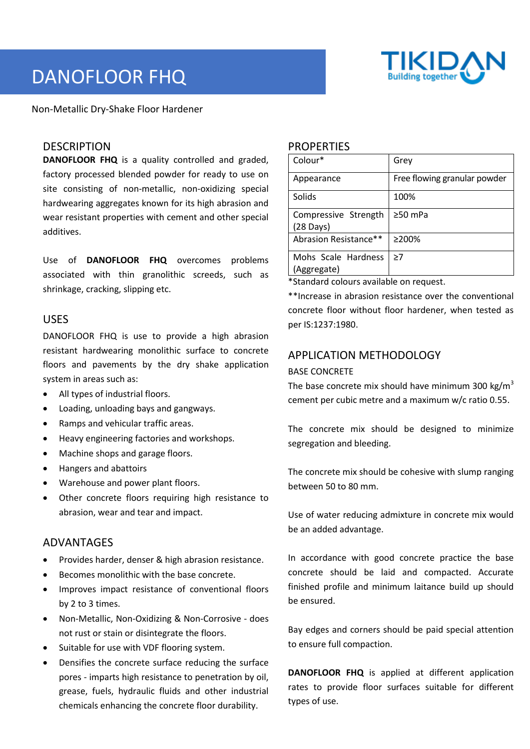

# DANOFLOOR FHQ

Non-Metallic Dry-Shake Floor Hardener

#### **DESCRIPTION**

**DANOFLOOR FHQ** is a quality controlled and graded, factory processed blended powder for ready to use on site consisting of non-metallic, non-oxidizing special hardwearing aggregates known for its high abrasion and wear resistant properties with cement and other special additives.

Use of **DANOFLOOR FHQ** overcomes problems associated with thin granolithic screeds, such as shrinkage, cracking, slipping etc.

#### USES

DANOFLOOR FHQ is use to provide a high abrasion resistant hardwearing monolithic surface to concrete floors and pavements by the dry shake application system in areas such as:

- All types of industrial floors.
- Loading, unloading bays and gangways.
- Ramps and vehicular traffic areas.
- Heavy engineering factories and workshops.
- Machine shops and garage floors.
- Hangers and abattoirs
- Warehouse and power plant floors.
- Other concrete floors requiring high resistance to abrasion, wear and tear and impact.

## ADVANTAGES

- Provides harder, denser & high abrasion resistance.
- Becomes monolithic with the base concrete.
- Improves impact resistance of conventional floors by 2 to 3 times.
- Non-Metallic, Non-Oxidizing & Non-Corrosive does not rust or stain or disintegrate the floors.
- Suitable for use with VDF flooring system.
- Densifies the concrete surface reducing the surface pores - imparts high resistance to penetration by oil, grease, fuels, hydraulic fluids and other industrial chemicals enhancing the concrete floor durability.

#### **PROPERTIES**

| Colour*                                     | Grev                         |
|---------------------------------------------|------------------------------|
| Appearance                                  | Free flowing granular powder |
| Solids                                      | 100%                         |
| Compressive Strength<br>$(28 \text{ Days})$ | $\geq 50$ mPa                |
| Abrasion Resistance**                       | ≥200%                        |
| Mohs Scale Hardness<br>(Aggregate)          | >7                           |

\*Standard colours available on request.

\*\*Increase in abrasion resistance over the conventional concrete floor without floor hardener, when tested as per IS:1237:1980.

# APPLICATION METHODOLOGY

#### BASE CONCRETE

The base concrete mix should have minimum 300 kg/m<sup>3</sup> cement per cubic metre and a maximum w/c ratio 0.55.

The concrete mix should be designed to minimize segregation and bleeding.

The concrete mix should be cohesive with slump ranging between 50 to 80 mm.

Use of water reducing admixture in concrete mix would be an added advantage.

In accordance with good concrete practice the base concrete should be laid and compacted. Accurate finished profile and minimum laitance build up should be ensured.

Bay edges and corners should be paid special attention to ensure full compaction.

**DANOFLOOR FHQ** is applied at different application rates to provide floor surfaces suitable for different types of use.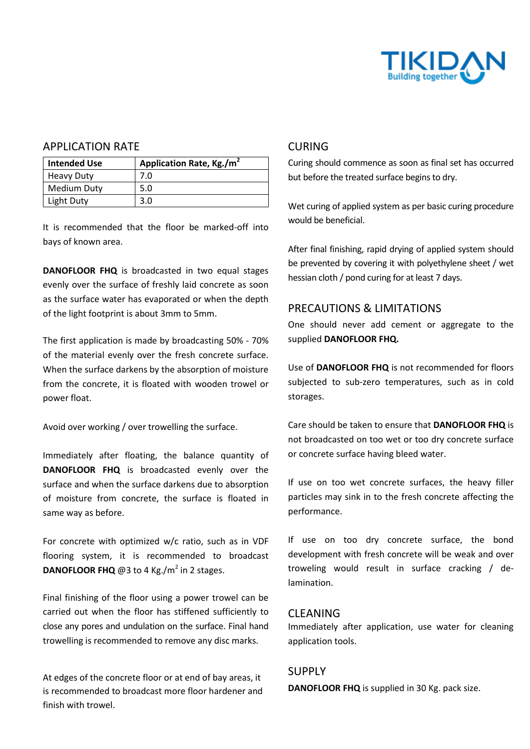

#### APPLICATION RATE

| <b>Intended Use</b> | Application Rate, Kg./m <sup>2</sup> |
|---------------------|--------------------------------------|
| <b>Heavy Duty</b>   | 7.0                                  |
| <b>Medium Duty</b>  | 5.0                                  |
| Light Duty          | 3.0                                  |

It is recommended that the floor be marked-off into bays of known area.

**DANOFLOOR FHQ** is broadcasted in two equal stages evenly over the surface of freshly laid concrete as soon as the surface water has evaporated or when the depth of the light footprint is about 3mm to 5mm.

The first application is made by broadcasting 50% - 70% of the material evenly over the fresh concrete surface. When the surface darkens by the absorption of moisture from the concrete, it is floated with wooden trowel or power float.

Avoid over working / over trowelling the surface.

Immediately after floating, the balance quantity of **DANOFLOOR FHQ** is broadcasted evenly over the surface and when the surface darkens due to absorption of moisture from concrete, the surface is floated in same way as before.

For concrete with optimized w/c ratio, such as in VDF flooring system, it is recommended to broadcast **DANOFLOOR FHQ**  $@3$  to 4 Kg./m<sup>2</sup> in 2 stages.

Final finishing of the floor using a power trowel can be carried out when the floor has stiffened sufficiently to close any pores and undulation on the surface. Final hand trowelling is recommended to remove any disc marks.

At edges of the concrete floor or at end of bay areas, it is recommended to broadcast more floor hardener and finish with trowel.

#### CURING

Curing should commence as soon as final set has occurred but before the treated surface begins to dry.

Wet curing of applied system as per basic curing procedure would be beneficial.

After final finishing, rapid drying of applied system should be prevented by covering it with polyethylene sheet / wet hessian cloth / pond curing for at least 7 days.

## PRECAUTIONS & LIMITATIONS

One should never add cement or aggregate to the supplied **DANOFLOOR FHQ.**

Use of **DANOFLOOR FHQ** is not recommended for floors subjected to sub-zero temperatures, such as in cold storages.

Care should be taken to ensure that **DANOFLOOR FHQ** is not broadcasted on too wet or too dry concrete surface or concrete surface having bleed water.

If use on too wet concrete surfaces, the heavy filler particles may sink in to the fresh concrete affecting the performance.

If use on too dry concrete surface, the bond development with fresh concrete will be weak and over troweling would result in surface cracking / delamination.

#### CLEANING

Immediately after application, use water for cleaning application tools.

#### SUPPLY

**DANOFLOOR FHQ** is supplied in 30 Kg. pack size.